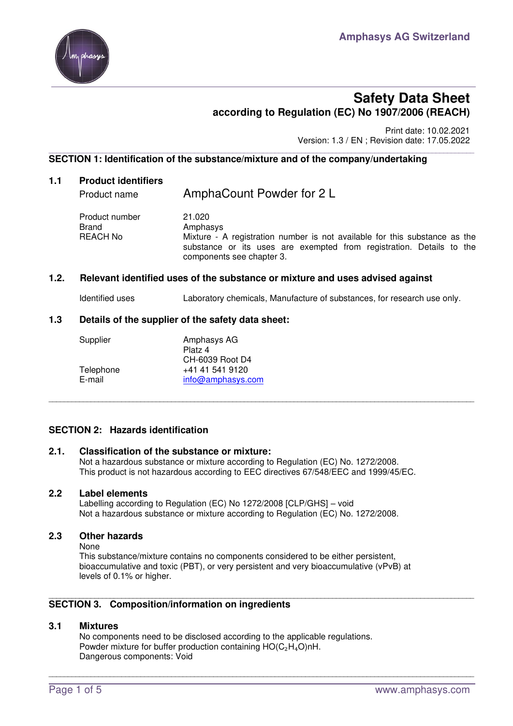

# **Safety Data Sheet according to Regulation (EC) No 1907/2006 (REACH)**

 Print date: 10.02.2021 Version: 1.3 / EN ; Revision date: 17.05.2022

#### \_\_\_\_\_\_\_\_\_\_\_\_\_\_\_\_\_\_\_\_\_\_\_\_\_\_\_\_\_\_\_\_\_\_\_\_\_\_\_\_\_\_\_\_\_\_\_\_\_\_\_\_\_\_\_\_\_\_\_\_\_\_\_\_\_\_\_\_\_\_\_\_\_\_\_\_\_\_\_\_\_\_\_\_\_\_\_\_\_\_\_\_\_\_\_\_\_\_\_\_\_\_\_\_\_\_\_\_\_\_\_ **SECTION 1: Identification of the substance/mixture and of the company/undertaking**

### **1.1 Product identifiers**

Product name AmphaCount Powder for 2 L Product number 21.020 Brand **Amphasys** REACH No Mixture - A registration number is not available for this substance as the substance or its uses are exempted from registration. Details to the components see chapter 3.

# **1.2. Relevant identified uses of the substance or mixture and uses advised against**

Identified uses Laboratory chemicals, Manufacture of substances, for research use only.

\_\_\_\_\_\_\_\_\_\_\_\_\_\_\_\_\_\_\_\_\_\_\_\_\_\_\_\_\_\_\_\_\_\_\_\_\_\_\_\_\_\_\_\_\_\_\_\_\_\_\_\_\_\_\_\_\_\_\_\_\_\_\_\_\_\_\_\_\_\_\_\_\_\_\_\_\_\_\_\_\_\_\_\_\_\_\_\_\_\_\_\_\_\_\_\_\_\_\_\_\_\_\_\_\_\_\_\_\_\_\_

# **1.3 Details of the supplier of the safety data sheet:**

| Supplier  | Amphasys AG       |
|-----------|-------------------|
|           | Platz 4           |
|           | CH-6039 Root D4   |
| Telephone | +41 41 541 9120   |
| E-mail    | info@amphasys.com |

### **SECTION 2: Hazards identification**

### **2.1. Classification of the substance or mixture:** Not a hazardous substance or mixture according to Regulation (EC) No. 1272/2008. This product is not hazardous according to EEC directives 67/548/EEC and 1999/45/EC.

### **2.2 Label elements**

 Labelling according to Regulation (EC) No 1272/2008 [CLP/GHS] – void Not a hazardous substance or mixture according to Regulation (EC) No. 1272/2008.

# **2.3 Other hazards**

None

This substance/mixture contains no components considered to be either persistent, bioaccumulative and toxic (PBT), or very persistent and very bioaccumulative (vPvB) at levels of 0.1% or higher.

\_\_\_\_\_\_\_\_\_\_\_\_\_\_\_\_\_\_\_\_\_\_\_\_\_\_\_\_\_\_\_\_\_\_\_\_\_\_\_\_\_\_\_\_\_\_\_\_\_\_\_\_\_\_\_\_\_\_\_\_\_\_\_\_\_\_\_\_\_\_\_\_\_\_\_\_\_\_\_\_\_\_\_\_\_\_\_\_\_\_\_\_\_\_\_\_\_\_\_\_\_\_\_\_\_\_\_\_\_\_\_

\_\_\_\_\_\_\_\_\_\_\_\_\_\_\_\_\_\_\_\_\_\_\_\_\_\_\_\_\_\_\_\_\_\_\_\_\_\_\_\_\_\_\_\_\_\_\_\_\_\_\_\_\_\_\_\_\_\_\_\_\_\_\_\_\_\_\_\_\_\_\_\_\_\_\_\_\_\_\_\_\_\_\_\_\_\_\_\_\_\_\_\_\_\_\_\_\_\_\_\_\_\_\_\_\_\_\_\_\_\_\_

### **SECTION 3. Composition/information on ingredients**

# **3.1 Mixtures**

No components need to be disclosed according to the applicable regulations. Powder mixture for buffer production containing  $HO(C_2H_4O)$ nH. Dangerous components: Void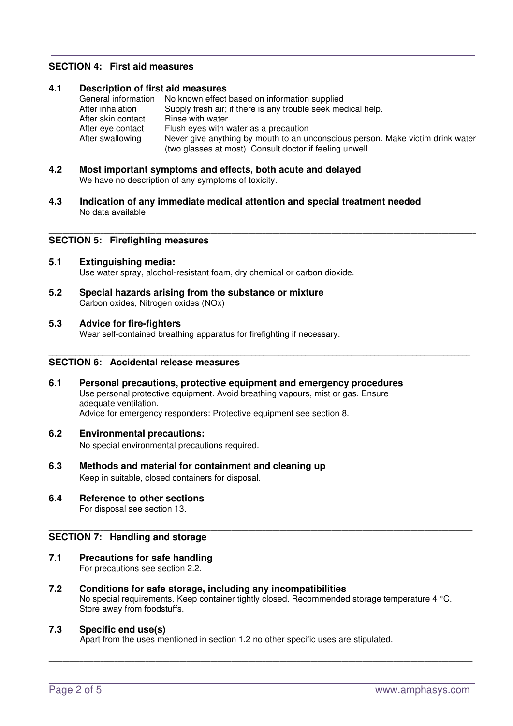# **SECTION 4: First aid measures**

### **4.1 Description of first aid measures**  General information No known effect based on information supplied<br>After inhalation Supply fresh air: if there is any trouble seek mee Supply fresh air; if there is any trouble seek medical help.<br>Rinse with water. After skin contact After eye contact Flush eyes with water as a precaution After swallowing Never give anything by mouth to an unconscious person. Make victim drink water (two glasses at most). Consult doctor if feeling unwell.

- **4.2 Most important symptoms and effects, both acute and delayed**  We have no description of any symptoms of toxicity.
- **4.3 Indication of any immediate medical attention and special treatment needed**  No data available

# \_\_\_\_\_\_\_\_\_\_\_\_\_\_\_\_\_\_\_\_\_\_\_\_\_\_\_\_\_\_\_\_\_\_\_\_\_\_\_\_\_\_\_\_\_\_\_\_\_\_\_\_\_\_\_\_\_\_\_\_\_\_\_\_\_\_\_\_\_\_\_\_\_\_\_\_\_\_\_\_\_\_\_\_\_\_\_\_\_\_\_\_\_\_\_\_\_\_\_\_\_\_\_\_\_\_\_\_\_\_\_\_\_\_\_\_\_\_\_\_\_\_\_\_ **SECTION 5: Firefighting measures**

- **5.1 Extinguishing media:**  Use water spray, alcohol-resistant foam, dry chemical or carbon dioxide.
- **5.2 Special hazards arising from the substance or mixture**  Carbon oxides, Nitrogen oxides (NOx)

### **5.3 Advice for fire-fighters**

Wear self-contained breathing apparatus for firefighting if necessary.

### **SECTION 6: Accidental release measures**

**6.1 Personal precautions, protective equipment and emergency procedures**  Use personal protective equipment. Avoid breathing vapours, mist or gas. Ensure adequate ventilation. Advice for emergency responders: Protective equipment see section 8.

\_\_\_\_\_\_\_\_\_\_\_\_\_\_\_\_\_\_\_\_\_\_\_\_\_\_\_\_\_\_\_\_\_\_\_\_\_\_\_\_\_\_\_\_\_\_\_\_\_\_\_\_\_\_\_\_\_\_\_\_\_\_\_\_\_\_\_\_\_\_\_\_\_\_\_\_\_\_\_\_\_\_\_\_\_\_\_\_\_\_\_\_\_\_\_\_\_\_\_\_\_\_\_\_\_\_\_\_\_\_

**6.2 Environmental precautions:** 

No special environmental precautions required.

- **6.3 Methods and material for containment and cleaning up**  Keep in suitable, closed containers for disposal.
- **6.4 Reference to other sections**  For disposal see section 13.

# \_\_\_\_\_\_\_\_\_\_\_\_\_\_\_\_\_\_\_\_\_\_\_\_\_\_\_\_\_\_\_\_\_\_\_\_\_\_\_\_\_\_\_\_\_\_\_\_\_\_\_\_\_\_\_\_\_\_\_\_\_\_\_\_\_\_\_\_\_\_\_\_\_\_\_\_\_\_\_\_\_\_\_\_\_\_\_\_\_\_\_\_\_\_\_\_\_\_\_\_\_\_\_\_\_\_\_\_\_\_\_\_\_\_\_\_\_\_\_\_\_\_\_ **SECTION 7: Handling and storage**

- **7.1 Precautions for safe handling**  For precautions see section 2.2.
- **7.2 Conditions for safe storage, including any incompatibilities**  No special requirements. Keep container tightly closed. Recommended storage temperature 4 °C. Store away from foodstuffs.

\_\_\_\_\_\_\_\_\_\_\_\_\_\_\_\_\_\_\_\_\_\_\_\_\_\_\_\_\_\_\_\_\_\_\_\_\_\_\_\_\_\_\_\_\_\_\_\_\_\_\_\_\_\_\_\_\_\_\_\_\_\_\_\_\_\_\_\_\_\_\_\_\_\_\_\_\_\_\_\_\_\_\_\_\_\_\_\_\_\_\_\_\_\_\_\_\_\_\_\_\_\_\_\_\_\_\_\_\_\_\_\_\_\_\_\_\_\_\_\_\_\_\_

### **7.3 Specific end use(s)**

Apart from the uses mentioned in section 1.2 no other specific uses are stipulated.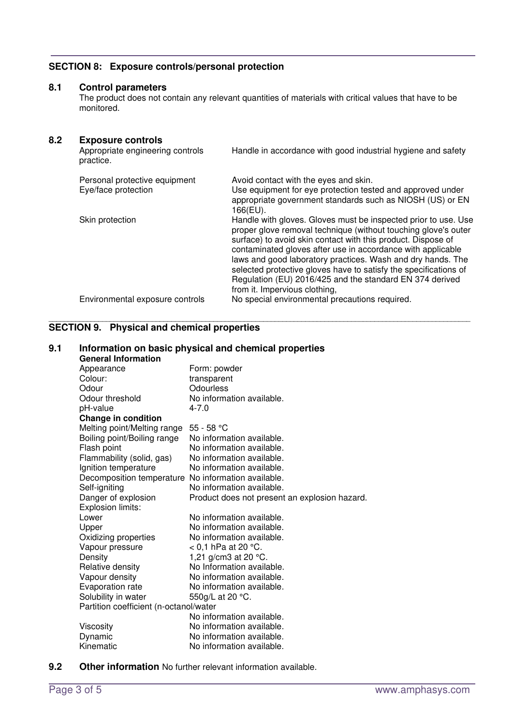# **SECTION 8: Exposure controls/personal protection**

# **8.1 Control parameters**

The product does not contain any relevant quantities of materials with critical values that have to be monitored.

# **8.2 Exposure controls**

| Appropriate engineering controls<br>practice.        | Handle in accordance with good industrial hygiene and safety                                                                                                                                                                                                                                                                                                                                                                                                                                    |
|------------------------------------------------------|-------------------------------------------------------------------------------------------------------------------------------------------------------------------------------------------------------------------------------------------------------------------------------------------------------------------------------------------------------------------------------------------------------------------------------------------------------------------------------------------------|
| Personal protective equipment<br>Eye/face protection | Avoid contact with the eyes and skin.<br>Use equipment for eye protection tested and approved under<br>appropriate government standards such as NIOSH (US) or EN<br>166(EU).                                                                                                                                                                                                                                                                                                                    |
| Skin protection                                      | Handle with gloves. Gloves must be inspected prior to use. Use<br>proper glove removal technique (without touching glove's outer<br>surface) to avoid skin contact with this product. Dispose of<br>contaminated gloves after use in accordance with applicable<br>laws and good laboratory practices. Wash and dry hands. The<br>selected protective gloves have to satisfy the specifications of<br>Regulation (EU) 2016/425 and the standard EN 374 derived<br>from it. Impervious clothing, |
| Environmental exposure controls                      | No special environmental precautions required.                                                                                                                                                                                                                                                                                                                                                                                                                                                  |
|                                                      |                                                                                                                                                                                                                                                                                                                                                                                                                                                                                                 |

#### \_\_\_\_\_\_\_\_\_\_\_\_\_\_\_\_\_\_\_\_\_\_\_\_\_\_\_\_\_\_\_\_\_\_\_\_\_\_\_\_\_\_\_\_\_\_\_\_\_\_\_\_\_\_\_\_\_\_\_\_\_\_\_\_\_\_\_\_\_\_\_\_\_\_\_\_\_\_\_\_\_\_\_\_\_\_\_\_\_\_\_\_\_\_\_\_\_\_\_\_\_\_\_\_\_\_\_\_\_\_ **SECTION 9. Physical and chemical properties**

| 9.1 | Information on basic physical and chemical properties<br><b>General Information</b> |                                               |  |
|-----|-------------------------------------------------------------------------------------|-----------------------------------------------|--|
|     | Appearance                                                                          | Form: powder                                  |  |
|     | Colour:                                                                             | transparent                                   |  |
|     | Odour                                                                               | Odourless                                     |  |
|     | Odour threshold                                                                     | No information available.                     |  |
|     | pH-value                                                                            | $4 - 7.0$                                     |  |
|     | Change in condition                                                                 |                                               |  |
|     | Melting point/Melting range                                                         | $55 - 58 °C$                                  |  |
|     | Boiling point/Boiling range                                                         | No information available.                     |  |
|     | Flash point                                                                         | No information available.                     |  |
|     | Flammability (solid, gas)                                                           | No information available.                     |  |
|     | Ignition temperature                                                                | No information available.                     |  |
|     | Decomposition temperature No information available.                                 |                                               |  |
|     | Self-igniting                                                                       | No information available.                     |  |
|     | Danger of explosion<br>Explosion limits:                                            | Product does not present an explosion hazard. |  |
|     | Lower                                                                               | No information available.                     |  |
|     | Upper                                                                               | No information available.                     |  |
|     | Oxidizing properties                                                                | No information available.                     |  |
|     | Vapour pressure                                                                     | $< 0.1$ hPa at 20 °C.                         |  |
|     | Density                                                                             | 1,21 g/cm3 at 20 $^{\circ}$ C.                |  |
|     | Relative density                                                                    | No Information available.                     |  |
|     | Vapour density                                                                      | No information available.                     |  |
|     | Evaporation rate                                                                    | No information available.                     |  |
|     | Solubility in water                                                                 | 550g/L at 20 °C.                              |  |
|     | Partition coefficient (n-octanol/water                                              |                                               |  |
|     |                                                                                     | No information available.                     |  |
|     | Viscosity                                                                           | No information available.                     |  |
|     | Dynamic                                                                             | No information available.                     |  |
|     | Kinematic                                                                           | No information available.                     |  |

**9.2 Other information** No further relevant information available.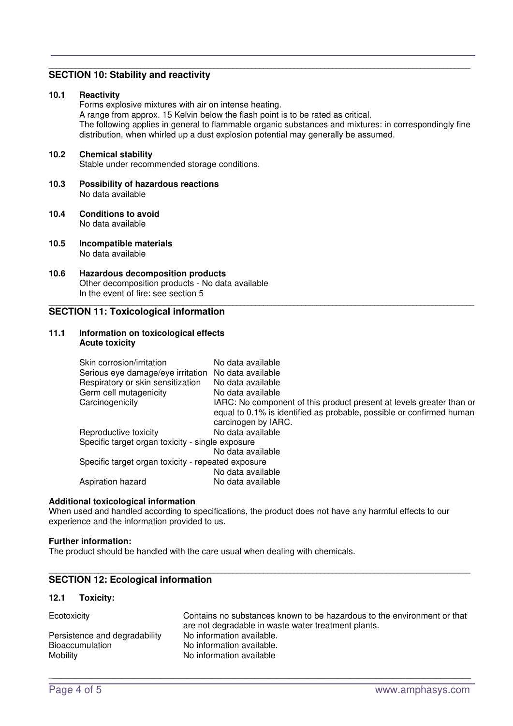# **SECTION 10: Stability and reactivity**

#### **10.1 Reactivity**

Forms explosive mixtures with air on intense heating. A range from approx. 15 Kelvin below the flash point is to be rated as critical. The following applies in general to flammable organic substances and mixtures: in correspondingly fine distribution, when whirled up a dust explosion potential may generally be assumed.

\_\_\_\_\_\_\_\_\_\_\_\_\_\_\_\_\_\_\_\_\_\_\_\_\_\_\_\_\_\_\_\_\_\_\_\_\_\_\_\_\_\_\_\_\_\_\_\_\_\_\_\_\_\_\_\_\_\_\_\_\_\_\_\_\_\_\_\_\_\_\_\_\_\_\_\_\_\_\_\_\_\_\_\_\_\_\_\_\_\_\_\_\_\_\_\_\_\_\_\_\_\_\_\_\_\_\_\_\_\_\_

\_\_\_\_\_\_\_\_\_\_\_\_\_\_\_\_\_\_\_\_\_\_\_\_\_\_\_\_\_\_\_\_\_\_\_\_\_\_\_\_\_\_\_\_\_\_\_\_\_\_\_\_\_\_\_\_\_\_\_\_\_\_\_\_\_\_\_\_\_\_\_\_\_\_\_\_\_\_\_\_\_\_\_\_\_\_\_\_\_\_\_\_\_\_\_\_\_\_\_\_\_\_\_\_\_\_\_\_\_\_

### **10.2 Chemical stability**

Stable under recommended storage conditions.

- **10.3 Possibility of hazardous reactions**  No data available
- **10.4 Conditions to avoid**  No data available
- **10.5 Incompatible materials**  No data available
- **10.6 Hazardous decomposition products**  Other decomposition products - No data available In the event of fire: see section 5

## **SECTION 11: Toxicological information**

#### **11.1 Information on toxicological effects Acute toxicity**

| IARC: No component of this product present at levels greater than or |
|----------------------------------------------------------------------|
| equal to 0.1% is identified as probable, possible or confirmed human |
|                                                                      |
|                                                                      |
|                                                                      |
|                                                                      |
|                                                                      |
|                                                                      |
|                                                                      |
|                                                                      |

#### **Additional toxicological information**

When used and handled according to specifications, the product does not have any harmful effects to our experience and the information provided to us.

#### **Further information:**

The product should be handled with the care usual when dealing with chemicals.

#### \_\_\_\_\_\_\_\_\_\_\_\_\_\_\_\_\_\_\_\_\_\_\_\_\_\_\_\_\_\_\_\_\_\_\_\_\_\_\_\_\_\_\_\_\_\_\_\_\_\_\_\_\_\_\_\_\_\_\_\_\_\_\_\_\_\_\_\_\_\_\_\_\_\_\_\_\_\_\_\_\_\_\_\_\_\_\_\_\_\_\_\_\_\_\_\_\_\_\_\_\_\_\_\_\_\_\_\_\_\_ **SECTION 12: Ecological information**

### **12.1 Toxicity:**

| Ecotoxicity                   | Contains no substances known to be hazardous to the environment or that |
|-------------------------------|-------------------------------------------------------------------------|
|                               | are not degradable in waste water treatment plants.                     |
| Persistence and degradability | No information available.                                               |
| <b>Bioaccumulation</b>        | No information available.                                               |
| Mobility                      | No information available                                                |

 $\sim$  . The contribution of the contribution of the contribution of the contribution of the contribution of the contribution of the contribution of the contribution of the contribution of the contribution of the contributi